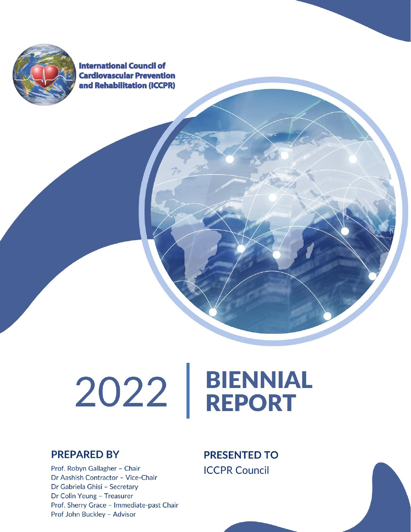

**International Council of Cardiovascular Prevention** and Rehabilitation (ICCPR)

# 2022 | BIENNIAL

#### **PREPARED BY**

Prof. Robyn Gallagher - Chair Dr Aashish Contractor - Vice-Chair Dr Gabriela Ghisi - Secretary Dr Colin Yeung - Treasurer Prof. Sherry Grace - Immediate-past Chair Prof John Buckley - Advisor

**PRESENTED TO ICCPR Council**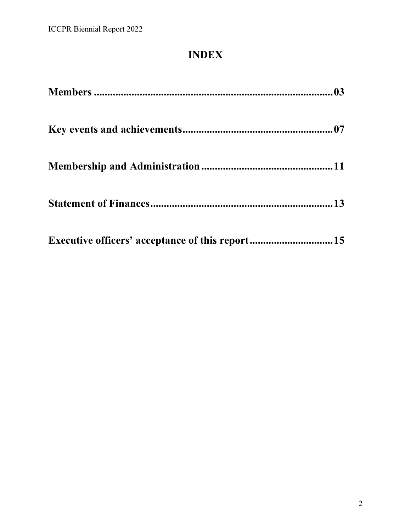# **INDEX**

| Executive officers' acceptance of this report15 |  |
|-------------------------------------------------|--|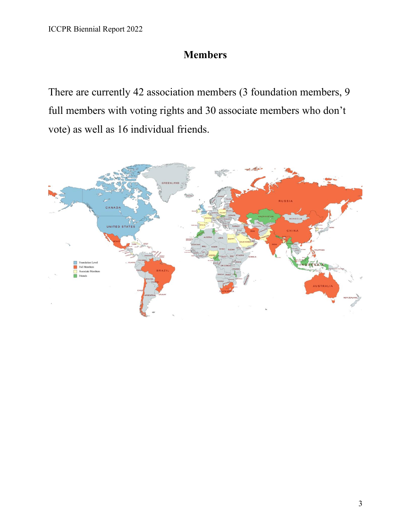## **Members**

There are currently 42 association members (3 foundation members, 9 full members with voting rights and 30 associate members who don't vote) as well as 16 individual friends.

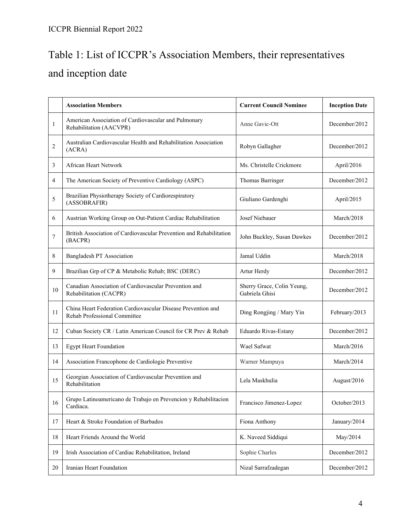# Table 1: List of ICCPR's Association Members, their representatives and inception date

|                | <b>Association Members</b>                                                                   | <b>Current Council Nominee</b>               | <b>Inception Date</b> |
|----------------|----------------------------------------------------------------------------------------------|----------------------------------------------|-----------------------|
| 1              | American Association of Cardiovascular and Pulmonary<br>Rehabilitation (AACVPR)              | Anne Gavic-Ott                               | December/2012         |
| $\overline{2}$ | Australian Cardiovascular Health and Rehabilitation Association<br>(ACRA)                    | Robyn Gallagher                              | December/2012         |
| 3              | African Heart Network                                                                        | Ms. Christelle Crickmore                     | April/2016            |
| 4              | The American Society of Preventive Cardiology (ASPC)                                         | Thomas Barringer                             | December/2012         |
| 5              | Brazilian Physiotherapy Society of Cardiorespiratory<br>(ASSOBRAFIR)                         | Giuliano Gardenghi                           |                       |
| 6              | Austrian Working Group on Out-Patient Cardiac Rehabilitation                                 | Josef Niebauer                               | March/2018            |
| 7              | British Association of Cardiovascular Prevention and Rehabilitation<br>(BACPR)               | John Buckley, Susan Dawkes                   | December/2012         |
| 8              | <b>Bangladesh PT Association</b>                                                             | Jamal Uddin                                  | March/2018            |
| 9              | Brazilian Grp of CP & Metabolic Rehab; BSC (DERC)                                            | Artur Herdy                                  | December/2012         |
| 10             | Canadian Association of Cardiovascular Prevention and<br>Rehabilitation (CACPR)              | Sherry Grace, Colin Yeung,<br>Gabriela Ghisi | December/2012         |
| 11             | China Heart Federation Cardiovascular Disease Prevention and<br>Rehab Professional Committee | Ding Rongjing / Mary Yin                     | February/2013         |
| 12             | Cuban Society CR / Latin American Council for CR Prev & Rehab                                | Eduardo Rivas-Estany                         |                       |
| 13             | <b>Egypt Heart Foundation</b>                                                                | Wael Safwat                                  |                       |
| 14             | Association Francophone de Cardiologie Preventive<br>Warner Mampuya                          |                                              | March/2014            |
| 15             | Georgian Association of Cardiovascular Prevention and<br>Rehabilitation                      | Lela Maskhulia                               |                       |
| 16             | Grupo Latinoamericano de Trabajo en Prevencion y Rehabilitacion<br>Cardiaca.                 | Francisco Jimenez-Lopez                      | October/2013          |
| 17             | Heart & Stroke Foundation of Barbados                                                        | Fiona Anthony                                |                       |
| 18             | Heart Friends Around the World<br>K. Naveed Siddiqui                                         |                                              | May/2014              |
| 19             | Irish Association of Cardiac Rehabilitation, Ireland                                         | Sophie Charles                               | December/2012         |
| 20             | Iranian Heart Foundation<br>Nizal Sarrafzadegan                                              |                                              | December/2012         |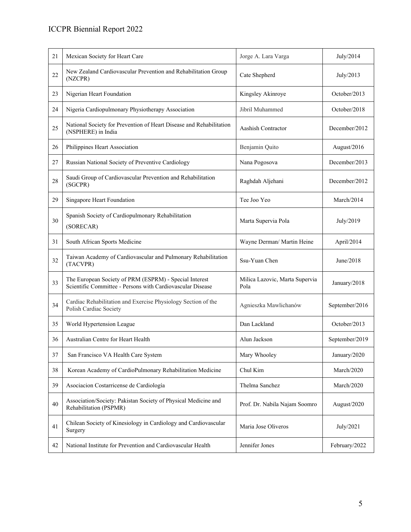#### ICCPR Biennial Report 2022

| 21     | Mexican Society for Heart Care                                                                                                                                 | Jorge A. Lara Varga           |               |
|--------|----------------------------------------------------------------------------------------------------------------------------------------------------------------|-------------------------------|---------------|
| 22     | New Zealand Cardiovascular Prevention and Rehabilitation Group<br>(NZCPR)                                                                                      | Cate Shepherd                 | July/2013     |
| 23     | Nigerian Heart Foundation                                                                                                                                      | Kingsley Akinroye             | October/2013  |
| 24     | Nigeria Cardiopulmonary Physiotherapy Association                                                                                                              | Jibril Muhammed               | October/2018  |
| 25     | National Society for Prevention of Heart Disease and Rehabilitation<br>Aashish Contractor<br>(NSPHERE) in India                                                |                               | December/2012 |
| 26     | Philippines Heart Association                                                                                                                                  | Benjamin Quito                | August/2016   |
| 27     | Russian National Society of Preventive Cardiology                                                                                                              | Nana Pogosova                 | December/2013 |
| $28\,$ | Saudi Group of Cardiovascular Prevention and Rehabilitation<br>(SGCPR)                                                                                         | Raghdah Aljehani              |               |
| 29     | Singapore Heart Foundation                                                                                                                                     | Tee Joo Yeo                   | March/2014    |
| 30     | Spanish Society of Cardiopulmonary Rehabilitation<br>(SORECAR)                                                                                                 | Marta Supervia Pola           | July/2019     |
| 31     | South African Sports Medicine                                                                                                                                  | Wayne Derman/ Martin Heine    | April/2014    |
| 32     | Taiwan Academy of Cardiovascular and Pulmonary Rehabilitation<br>(TACVPR)                                                                                      | Ssu-Yuan Chen                 | June/2018     |
| 33     | The European Society of PRM (ESPRM) - Special Interest<br>Milica Lazovic, Marta Supervia<br>Scientific Committee - Persons with Cardiovascular Disease<br>Pola |                               | January/2018  |
| 34     | Cardiac Rehabilitation and Exercise Physiology Section of the<br>Polish Cardiac Society                                                                        | Agnieszka Mawlichanów         |               |
| 35     | Dan Lackland<br>World Hypertension League                                                                                                                      |                               | October/2013  |
| 36     | Australian Centre for Heart Health                                                                                                                             | Alun Jackson                  |               |
| 37     | San Francisco VA Health Care System                                                                                                                            | Mary Whooley                  | January/2020  |
| 38     | Korean Academy of CardioPulmonary Rehabilitation Medicine                                                                                                      | Chul Kim                      | March/2020    |
| 39     | Asociacion Costarricense de Cardiología                                                                                                                        | Thelma Sanchez                | March/2020    |
| 40     | Association/Society: Pakistan Society of Physical Medicine and<br>Rehabilitation (PSPMR)                                                                       | Prof. Dr. Nabila Najam Soomro | August/2020   |
| 41     | Chilean Society of Kinesiology in Cardiology and Cardiovascular<br>Surgery                                                                                     | Maria Jose Oliveros           | July/2021     |
| 42     | National Institute for Prevention and Cardiovascular Health                                                                                                    | Jennifer Jones                | February/2022 |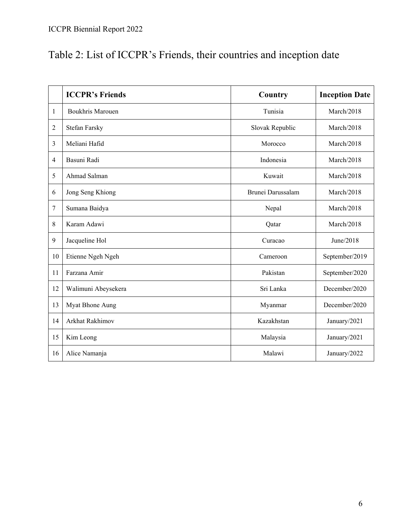# Table 2: List of ICCPR's Friends, their countries and inception date

|    | <b>ICCPR's Friends</b>  | Country           | <b>Inception Date</b> |
|----|-------------------------|-------------------|-----------------------|
| 1  | <b>Boukhris Marouen</b> | Tunisia           | March/2018            |
| 2  | <b>Stefan Farsky</b>    | Slovak Republic   | March/2018            |
| 3  | Meliani Hafid           | Morocco           | March/2018            |
| 4  | Basuni Radi             | Indonesia         | March/2018            |
| 5  | Ahmad Salman            | Kuwait            | March/2018            |
| 6  | Jong Seng Khiong        | Brunei Darussalam | March/2018            |
| 7  | Sumana Baidya           | Nepal             | March/2018            |
| 8  | Karam Adawi             | Qatar             | March/2018            |
| 9  | Jacqueline Hol          | Curacao           | June/2018             |
| 10 | Etienne Ngeh Ngeh       | Cameroon          | September/2019        |
| 11 | Farzana Amir            | Pakistan          | September/2020        |
| 12 | Walimuni Abeysekera     | Sri Lanka         | December/2020         |
| 13 | Myat Bhone Aung         | Myanmar           | December/2020         |
| 14 | Arkhat Rakhimov         | Kazakhstan        | January/2021          |
| 15 | Kim Leong               | Malaysia          | January/2021          |
| 16 | Alice Namanja           | Malawi            | January/2022          |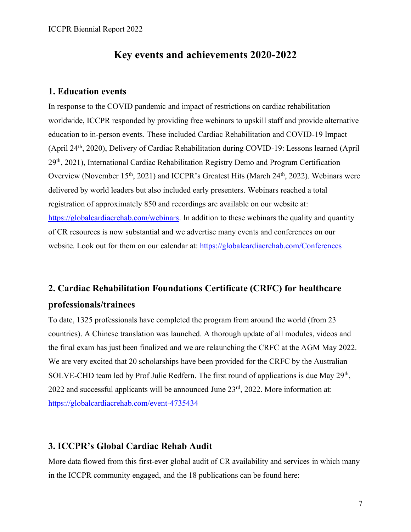#### **Key events and achievements 2020-2022**

#### **1. Education events**

In response to the COVID pandemic and impact of restrictions on cardiac rehabilitation worldwide, ICCPR responded by providing free webinars to upskill staff and provide alternative education to in-person events. These included Cardiac Rehabilitation and COVID-19 Impact (April 24th, 2020), Delivery of Cardiac Rehabilitation during COVID-19: Lessons learned (April 29th, 2021), International Cardiac Rehabilitation Registry Demo and Program Certification Overview (November 15<sup>th</sup>, 2021) and ICCPR's Greatest Hits (March 24<sup>th</sup>, 2022). Webinars were delivered by world leaders but also included early presenters. Webinars reached a total registration of approximately 850 and recordings are available on our website at: [https://globalcardiacrehab.com/webinars.](https://globalcardiacrehab.com/webinars) In addition to these webinars the quality and quantity of CR resources is now substantial and we advertise many events and conferences on our website. Look out for them on our calendar at:<https://globalcardiacrehab.com/Conferences>

## **2. Cardiac Rehabilitation Foundations Certificate (CRFC) for healthcare professionals/trainees**

To date, 1325 professionals have completed the program from around the world (from 23 countries). A Chinese translation was launched. A thorough update of all modules, videos and the final exam has just been finalized and we are relaunching the CRFC at the AGM May 2022. We are very excited that 20 scholarships have been provided for the CRFC by the Australian SOLVE-CHD team led by Prof Julie Redfern. The first round of applications is due May 29<sup>th</sup>, 2022 and successful applicants will be announced June 23rd, 2022. More information at: <https://globalcardiacrehab.com/event-4735434>

#### **3. ICCPR's Global Cardiac Rehab Audit**

More data flowed from this first-ever global audit of CR availability and services in which many in the ICCPR community engaged, and the 18 publications can be found here: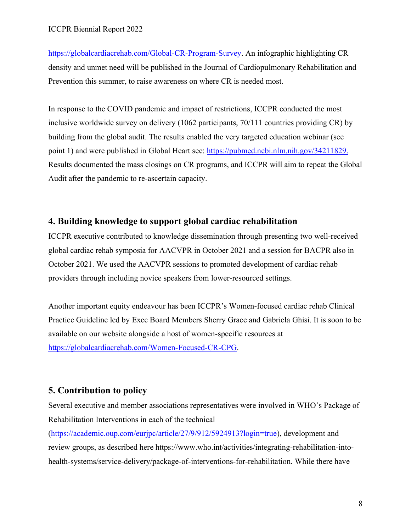[https://globalcardiacrehab.com/Global-CR-Program-Survey.](https://globalcardiacrehab.com/Global-CR-Program-Survey) An infographic highlighting CR density and unmet need will be published in the Journal of Cardiopulmonary Rehabilitation and Prevention this summer, to raise awareness on where CR is needed most.

In response to the COVID pandemic and impact of restrictions, ICCPR conducted the most inclusive worldwide survey on delivery (1062 participants, 70/111 countries providing CR) by building from the global audit. The results enabled the very targeted education webinar (see point 1) and were published in Global Heart see: [https://pubmed.ncbi.nlm.nih.gov/34211829.](https://pubmed.ncbi.nlm.nih.gov/34211829) Results documented the mass closings on CR programs, and ICCPR will aim to repeat the Global Audit after the pandemic to re-ascertain capacity.

#### **4. Building knowledge to support global cardiac rehabilitation**

ICCPR executive contributed to knowledge dissemination through presenting two well-received global cardiac rehab symposia for AACVPR in October 2021 and a session for BACPR also in October 2021. We used the AACVPR sessions to promoted development of cardiac rehab providers through including novice speakers from lower-resourced settings.

Another important equity endeavour has been ICCPR's Women-focused cardiac rehab Clinical Practice Guideline led by Exec Board Members Sherry Grace and Gabriela Ghisi. It is soon to be available on our website alongside a host of women-specific resources at [https://globalcardiacrehab.com/Women-Focused-CR-CPG.](https://globalcardiacrehab.com/Women-Focused-CR-CPG)

#### **5. Contribution to policy**

Several executive and member associations representatives were involved in WHO's Package of Rehabilitation Interventions in each of the technical

[\(https://academic.oup.com/eurjpc/article/27/9/912/5924913?login=true\)](https://academic.oup.com/eurjpc/article/27/9/912/5924913?login=true), development and review groups, as described here https://www.who.int/activities/integrating-rehabilitation-intohealth-systems/service-delivery/package-of-interventions-for-rehabilitation. While there have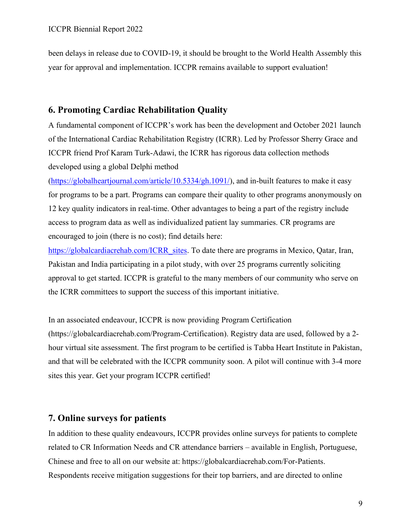been delays in release due to COVID-19, it should be brought to the World Health Assembly this year for approval and implementation. ICCPR remains available to support evaluation!

#### **6. Promoting Cardiac Rehabilitation Quality**

A fundamental component of ICCPR's work has been the development and October 2021 launch of the International Cardiac Rehabilitation Registry (ICRR). Led by Professor Sherry Grace and ICCPR friend Prof Karam Turk-Adawi, the ICRR has rigorous data collection methods developed using a global Delphi method

[\(https://globalheartjournal.com/article/10.5334/gh.1091/\)](https://globalheartjournal.com/article/10.5334/gh.1091/), and in-built features to make it easy for programs to be a part. Programs can compare their quality to other programs anonymously on 12 key quality indicators in real-time. Other advantages to being a part of the registry include access to program data as well as individualized patient lay summaries. CR programs are encouraged to join (there is no cost); find details here:

[https://globalcardiacrehab.com/ICRR\\_sites.](https://globalcardiacrehab.com/ICRR_sites) To date there are programs in Mexico, Qatar, Iran, Pakistan and India participating in a pilot study, with over 25 programs currently soliciting approval to get started. ICCPR is grateful to the many members of our community who serve on the ICRR committees to support the success of this important initiative.

In an associated endeavour, ICCPR is now providing Program Certification (https://globalcardiacrehab.com/Program-Certification). Registry data are used, followed by a 2 hour virtual site assessment. The first program to be certified is Tabba Heart Institute in Pakistan, and that will be celebrated with the ICCPR community soon. A pilot will continue with 3-4 more sites this year. Get your program ICCPR certified!

#### **7. Online surveys for patients**

In addition to these quality endeavours, ICCPR provides online surveys for patients to complete related to CR Information Needs and CR attendance barriers – available in English, Portuguese, Chinese and free to all on our website at: https://globalcardiacrehab.com/For-Patients. Respondents receive mitigation suggestions for their top barriers, and are directed to online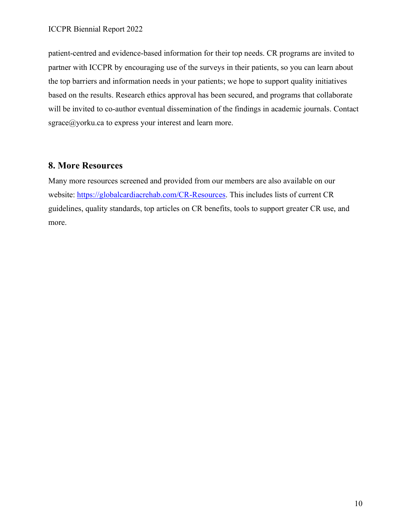patient-centred and evidence-based information for their top needs. CR programs are invited to partner with ICCPR by encouraging use of the surveys in their patients, so you can learn about the top barriers and information needs in your patients; we hope to support quality initiatives based on the results. Research ethics approval has been secured, and programs that collaborate will be invited to co-author eventual dissemination of the findings in academic journals. Contact [sgrace@yorku.ca](mailto:sgrace@yorku.ca) to express your interest and learn more.

#### **8. More Resources**

Many more resources screened and provided from our members are also available on our website: [https://globalcardiacrehab.com/CR-Resources.](https://globalcardiacrehab.com/CR-Resources) This includes lists of current CR guidelines, quality standards, top articles on CR benefits, tools to support greater CR use, and more.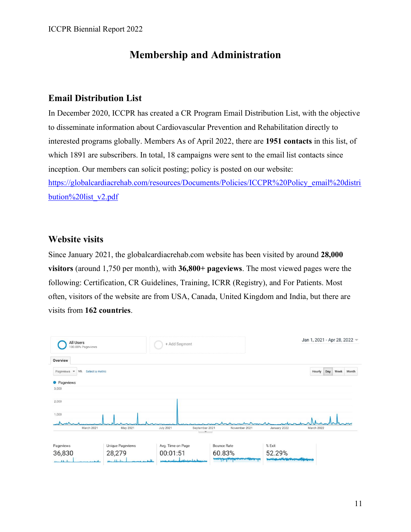### **Membership and Administration**

#### **Email Distribution List**

In December 2020, ICCPR has created a CR Program Email Distribution List, with the objective to disseminate information about Cardiovascular Prevention and Rehabilitation directly to interested programs globally. Members As of April 2022, there are **1951 contacts** in this list, of which 1891 are subscribers. In total, 18 campaigns were sent to the email list contacts since inception. Our members can solicit posting; policy is posted on our website: [https://globalcardiacrehab.com/resources/Documents/Policies/ICCPR%20Policy\\_email%20distri](https://globalcardiacrehab.com/resources/Documents/Policies/ICCPR%20Policy_email%20distribution%20list_v2.pdf) [bution%20list\\_v2.pdf](https://globalcardiacrehab.com/resources/Documents/Policies/ICCPR%20Policy_email%20distribution%20list_v2.pdf)

#### **Website visits**

Since January 2021, the globalcardiacrehab.com website has been visited by around **28,000 visitors** (around 1,750 per month), with **36,800+ pageviews**. The most viewed pages were the following: Certification, CR Guidelines, Training, ICRR (Registry), and For Patients. Most often, visitors of the website are from USA, Canada, United Kingdom and India, but there are visits from **162 countries**.

| All Users<br>100.00% Pageviews                               |                                    | + Add Segment                      |                    |              | Jan 1, 2021 - Apr 28, 2022 -   |
|--------------------------------------------------------------|------------------------------------|------------------------------------|--------------------|--------------|--------------------------------|
| Overview                                                     |                                    |                                    |                    |              |                                |
| VS. Select a metric<br>Pageviews<br>$\overline{\phantom{a}}$ |                                    |                                    |                    |              | Hourly<br>Day<br>Week<br>Month |
| • Pageviews                                                  |                                    |                                    |                    |              |                                |
| 3,000                                                        |                                    |                                    |                    |              |                                |
| 2,000                                                        |                                    |                                    |                    |              |                                |
| 1,000                                                        |                                    |                                    |                    |              |                                |
| $\overline{\phantom{a}}$                                     |                                    |                                    |                    |              |                                |
| March 2021                                                   | May 2021                           | <b>July 2021</b><br>September 2021 | November 2021      | January 2022 | March 2022                     |
|                                                              |                                    |                                    |                    |              |                                |
| Pageviews                                                    | <b>Unique Pageviews</b>            | Avg. Time on Page                  | <b>Bounce Rate</b> | % Exit       |                                |
| 36,830                                                       | 28,279                             | 00:01:51                           | 60.83%             | 52.29%       |                                |
| بالمطالب بمعد<br>بالمتفردة                                   | جبالونه جنب ويستعم<br>حملت كالمناب | angua administrativ basero         | سندر اعراز وال     | <del>=</del> |                                |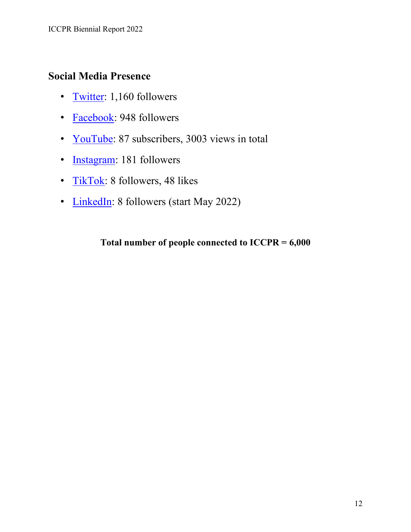## **Social Media Presence**

- [Twitter:](https://twitter.com/ICCPR_GlobalCR) 1,160 followers
- [Facebook:](https://www.facebook.com/International-Council-of-Cardiovascular-Prevention-and-Rehabilitation-1280815025396737) 948 followers
- [YouTube:](https://www.youtube.com/channel/UCHQPP6sDtH9zoXfzXN0kl3A) 87 subscribers, 3003 views in total
- [Instagram:](https://instagram.com/iccpr_crfc) 181 followers
- [TikTok:](https://www.tiktok.com/@iccpr_crfc?_d=secCgwIARCbDRjEFSACKAESPgo8Tf%2B%2B1VpMvIcFrjjXhmJFNYdWZYeqrvFUzSrXB9TR39ETAiT1dPZ6cKQyFp7CAXBh8gtOQ6a45PeiKNhNGgA%3D&checksum=4eac99a703b8af5f773d59a567cdb692353e7ead4745815a7d22fe2f6cbc4294&language=en&sec_u) 8 followers, 48 likes
- [LinkedIn:](https://www.linkedin.com/company/globalcardiacrehab/) 8 followers (start May 2022)

**Total number of people connected to ICCPR = 6,000**